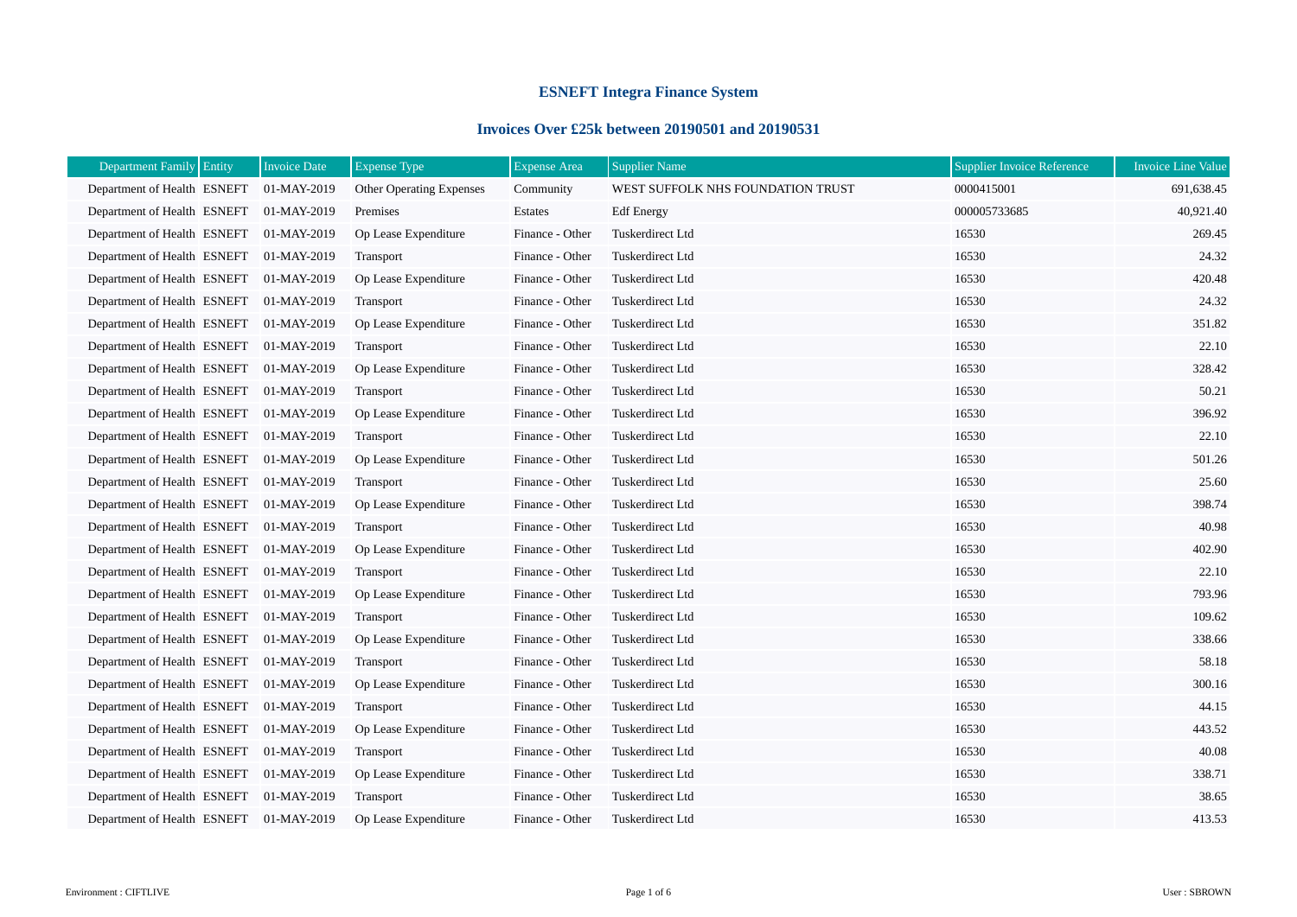## **ESNEFT Integra Finance System**

## **Invoices Over £25k between 20190501 and 20190531**

| Department Family Entity    | <b>Invoice Date</b> | <b>Expense Type</b>      | <b>Expense Area</b> | <b>Supplier Name</b>              | Supplier Invoice Reference | <b>Invoice Line Value</b> |
|-----------------------------|---------------------|--------------------------|---------------------|-----------------------------------|----------------------------|---------------------------|
| Department of Health ESNEFT | 01-MAY-2019         | Other Operating Expenses | Community           | WEST SUFFOLK NHS FOUNDATION TRUST | 0000415001                 | 691,638.45                |
| Department of Health ESNEFT | 01-MAY-2019         | Premises                 | Estates             | <b>Edf</b> Energy                 | 000005733685               | 40,921.40                 |
| Department of Health ESNEFT | 01-MAY-2019         | Op Lease Expenditure     | Finance - Other     | Tuskerdirect Ltd                  | 16530                      | 269.45                    |
| Department of Health ESNEFT | 01-MAY-2019         | Transport                | Finance - Other     | Tuskerdirect Ltd                  | 16530                      | 24.32                     |
| Department of Health ESNEFT | 01-MAY-2019         | Op Lease Expenditure     | Finance - Other     | Tuskerdirect Ltd                  | 16530                      | 420.48                    |
| Department of Health ESNEFT | 01-MAY-2019         | Transport                | Finance - Other     | Tuskerdirect Ltd                  | 16530                      | 24.32                     |
| Department of Health ESNEFT | 01-MAY-2019         | Op Lease Expenditure     | Finance - Other     | Tuskerdirect Ltd                  | 16530                      | 351.82                    |
| Department of Health ESNEFT | 01-MAY-2019         | Transport                | Finance - Other     | Tuskerdirect Ltd                  | 16530                      | 22.10                     |
| Department of Health ESNEFT | 01-MAY-2019         | Op Lease Expenditure     | Finance - Other     | Tuskerdirect Ltd                  | 16530                      | 328.42                    |
| Department of Health ESNEFT | 01-MAY-2019         | Transport                | Finance - Other     | Tuskerdirect Ltd                  | 16530                      | 50.21                     |
| Department of Health ESNEFT | 01-MAY-2019         | Op Lease Expenditure     | Finance - Other     | Tuskerdirect Ltd                  | 16530                      | 396.92                    |
| Department of Health ESNEFT | 01-MAY-2019         | Transport                | Finance - Other     | Tuskerdirect Ltd                  | 16530                      | 22.10                     |
| Department of Health ESNEFT | 01-MAY-2019         | Op Lease Expenditure     | Finance - Other     | Tuskerdirect Ltd                  | 16530                      | 501.26                    |
| Department of Health ESNEFT | 01-MAY-2019         | Transport                | Finance - Other     | Tuskerdirect Ltd                  | 16530                      | 25.60                     |
| Department of Health ESNEFT | 01-MAY-2019         | Op Lease Expenditure     | Finance - Other     | Tuskerdirect Ltd                  | 16530                      | 398.74                    |
| Department of Health ESNEFT | 01-MAY-2019         | Transport                | Finance - Other     | Tuskerdirect Ltd                  | 16530                      | 40.98                     |
| Department of Health ESNEFT | 01-MAY-2019         | Op Lease Expenditure     | Finance - Other     | Tuskerdirect Ltd                  | 16530                      | 402.90                    |
| Department of Health ESNEFT | 01-MAY-2019         | Transport                | Finance - Other     | Tuskerdirect Ltd                  | 16530                      | 22.10                     |
| Department of Health ESNEFT | 01-MAY-2019         | Op Lease Expenditure     | Finance - Other     | Tuskerdirect Ltd                  | 16530                      | 793.96                    |
| Department of Health ESNEFT | 01-MAY-2019         | Transport                | Finance - Other     | Tuskerdirect Ltd                  | 16530                      | 109.62                    |
| Department of Health ESNEFT | 01-MAY-2019         | Op Lease Expenditure     | Finance - Other     | Tuskerdirect Ltd                  | 16530                      | 338.66                    |
| Department of Health ESNEFT | 01-MAY-2019         | Transport                | Finance - Other     | Tuskerdirect Ltd                  | 16530                      | 58.18                     |
| Department of Health ESNEFT | 01-MAY-2019         | Op Lease Expenditure     | Finance - Other     | Tuskerdirect Ltd                  | 16530                      | 300.16                    |
| Department of Health ESNEFT | 01-MAY-2019         | Transport                | Finance - Other     | Tuskerdirect Ltd                  | 16530                      | 44.15                     |
| Department of Health ESNEFT | 01-MAY-2019         | Op Lease Expenditure     | Finance - Other     | Tuskerdirect Ltd                  | 16530                      | 443.52                    |
| Department of Health ESNEFT | 01-MAY-2019         | Transport                | Finance - Other     | Tuskerdirect Ltd                  | 16530                      | 40.08                     |
| Department of Health ESNEFT | 01-MAY-2019         | Op Lease Expenditure     | Finance - Other     | Tuskerdirect Ltd                  | 16530                      | 338.71                    |
| Department of Health ESNEFT | 01-MAY-2019         | Transport                | Finance - Other     | Tuskerdirect Ltd                  | 16530                      | 38.65                     |
| Department of Health ESNEFT | 01-MAY-2019         | Op Lease Expenditure     | Finance - Other     | Tuskerdirect Ltd                  | 16530                      | 413.53                    |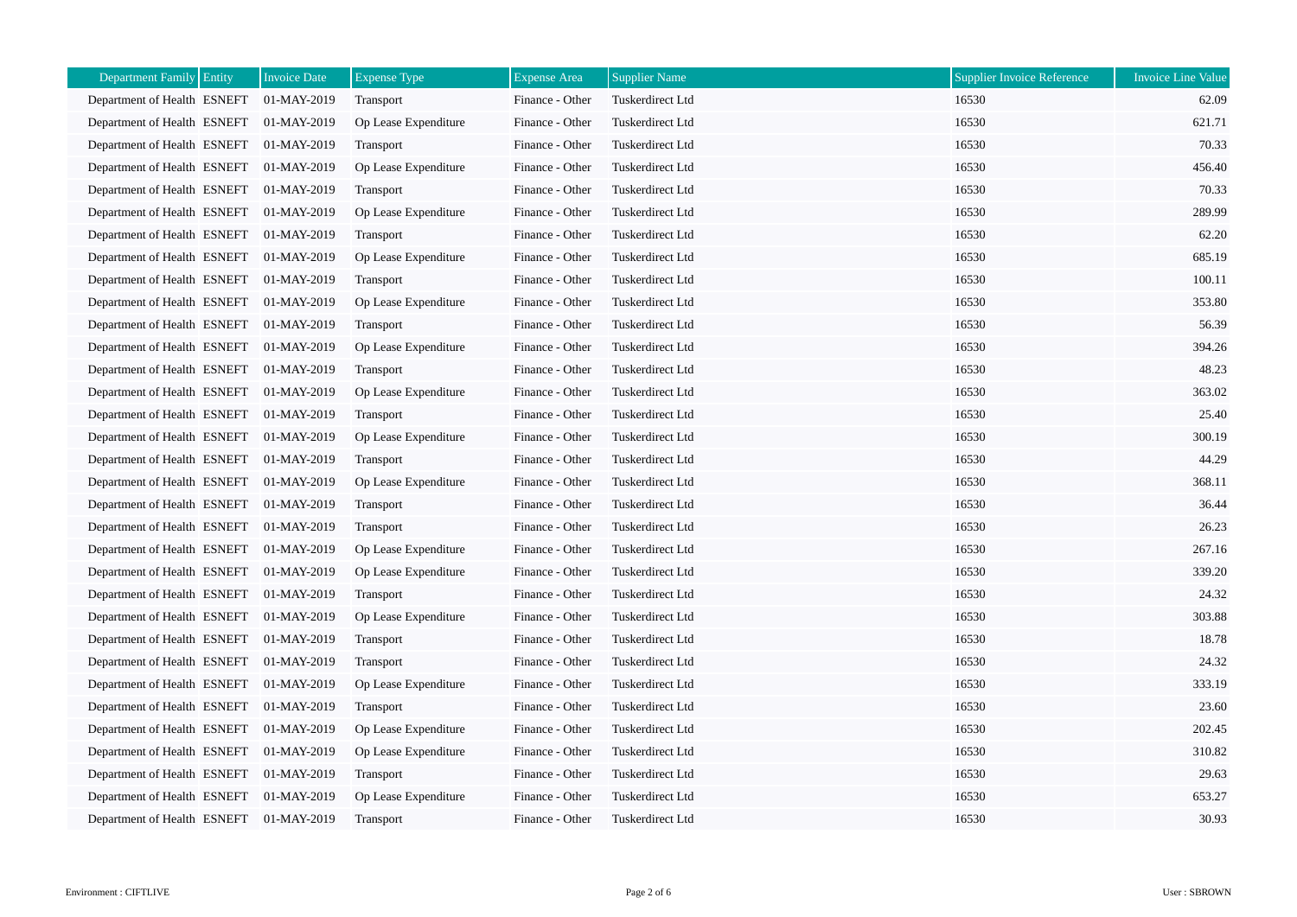| Department Family Entity    | Invoice Date | <b>Expense Type</b>  | <b>Expense Area</b> | <b>Supplier Name</b> | <b>Supplier Invoice Reference</b> | <b>Invoice Line Value</b> |
|-----------------------------|--------------|----------------------|---------------------|----------------------|-----------------------------------|---------------------------|
| Department of Health ESNEFT | 01-MAY-2019  | Transport            | Finance - Other     | Tuskerdirect Ltd     | 16530                             | 62.09                     |
| Department of Health ESNEFT | 01-MAY-2019  | Op Lease Expenditure | Finance - Other     | Tuskerdirect Ltd     | 16530                             | 621.71                    |
| Department of Health ESNEFT | 01-MAY-2019  | Transport            | Finance - Other     | Tuskerdirect Ltd     | 16530                             | 70.33                     |
| Department of Health ESNEFT | 01-MAY-2019  | Op Lease Expenditure | Finance - Other     | Tuskerdirect Ltd     | 16530                             | 456.40                    |
| Department of Health ESNEFT | 01-MAY-2019  | Transport            | Finance - Other     | Tuskerdirect Ltd     | 16530                             | 70.33                     |
| Department of Health ESNEFT | 01-MAY-2019  | Op Lease Expenditure | Finance - Other     | Tuskerdirect Ltd     | 16530                             | 289.99                    |
| Department of Health ESNEFT | 01-MAY-2019  | Transport            | Finance - Other     | Tuskerdirect Ltd     | 16530                             | 62.20                     |
| Department of Health ESNEFT | 01-MAY-2019  | Op Lease Expenditure | Finance - Other     | Tuskerdirect Ltd     | 16530                             | 685.19                    |
| Department of Health ESNEFT | 01-MAY-2019  | Transport            | Finance - Other     | Tuskerdirect Ltd     | 16530                             | 100.11                    |
| Department of Health ESNEFT | 01-MAY-2019  | Op Lease Expenditure | Finance - Other     | Tuskerdirect Ltd     | 16530                             | 353.80                    |
| Department of Health ESNEFT | 01-MAY-2019  | Transport            | Finance - Other     | Tuskerdirect Ltd     | 16530                             | 56.39                     |
| Department of Health ESNEFT | 01-MAY-2019  | Op Lease Expenditure | Finance - Other     | Tuskerdirect Ltd     | 16530                             | 394.26                    |
| Department of Health ESNEFT | 01-MAY-2019  | Transport            | Finance - Other     | Tuskerdirect Ltd     | 16530                             | 48.23                     |
| Department of Health ESNEFT | 01-MAY-2019  | Op Lease Expenditure | Finance - Other     | Tuskerdirect Ltd     | 16530                             | 363.02                    |
| Department of Health ESNEFT | 01-MAY-2019  | Transport            | Finance - Other     | Tuskerdirect Ltd     | 16530                             | 25.40                     |
| Department of Health ESNEFT | 01-MAY-2019  | Op Lease Expenditure | Finance - Other     | Tuskerdirect Ltd     | 16530                             | 300.19                    |
| Department of Health ESNEFT | 01-MAY-2019  | Transport            | Finance - Other     | Tuskerdirect Ltd     | 16530                             | 44.29                     |
| Department of Health ESNEFT | 01-MAY-2019  | Op Lease Expenditure | Finance - Other     | Tuskerdirect Ltd     | 16530                             | 368.11                    |
| Department of Health ESNEFT | 01-MAY-2019  | Transport            | Finance - Other     | Tuskerdirect Ltd     | 16530                             | 36.44                     |
| Department of Health ESNEFT | 01-MAY-2019  | Transport            | Finance - Other     | Tuskerdirect Ltd     | 16530                             | 26.23                     |
| Department of Health ESNEFT | 01-MAY-2019  | Op Lease Expenditure | Finance - Other     | Tuskerdirect Ltd     | 16530                             | 267.16                    |
| Department of Health ESNEFT | 01-MAY-2019  | Op Lease Expenditure | Finance - Other     | Tuskerdirect Ltd     | 16530                             | 339.20                    |
| Department of Health ESNEFT | 01-MAY-2019  | Transport            | Finance - Other     | Tuskerdirect Ltd     | 16530                             | 24.32                     |
| Department of Health ESNEFT | 01-MAY-2019  | Op Lease Expenditure | Finance - Other     | Tuskerdirect Ltd     | 16530                             | 303.88                    |
| Department of Health ESNEFT | 01-MAY-2019  | Transport            | Finance - Other     | Tuskerdirect Ltd     | 16530                             | 18.78                     |
| Department of Health ESNEFT | 01-MAY-2019  | Transport            | Finance - Other     | Tuskerdirect Ltd     | 16530                             | 24.32                     |
| Department of Health ESNEFT | 01-MAY-2019  | Op Lease Expenditure | Finance - Other     | Tuskerdirect Ltd     | 16530                             | 333.19                    |
| Department of Health ESNEFT | 01-MAY-2019  | Transport            | Finance - Other     | Tuskerdirect Ltd     | 16530                             | 23.60                     |
| Department of Health ESNEFT | 01-MAY-2019  | Op Lease Expenditure | Finance - Other     | Tuskerdirect Ltd     | 16530                             | 202.45                    |
| Department of Health ESNEFT | 01-MAY-2019  | Op Lease Expenditure | Finance - Other     | Tuskerdirect Ltd     | 16530                             | 310.82                    |
| Department of Health ESNEFT | 01-MAY-2019  | Transport            | Finance - Other     | Tuskerdirect Ltd     | 16530                             | 29.63                     |
| Department of Health ESNEFT | 01-MAY-2019  | Op Lease Expenditure | Finance - Other     | Tuskerdirect Ltd     | 16530                             | 653.27                    |
| Department of Health ESNEFT | 01-MAY-2019  | <b>Transport</b>     | Finance - Other     | Tuskerdirect Ltd     | 16530                             | 30.93                     |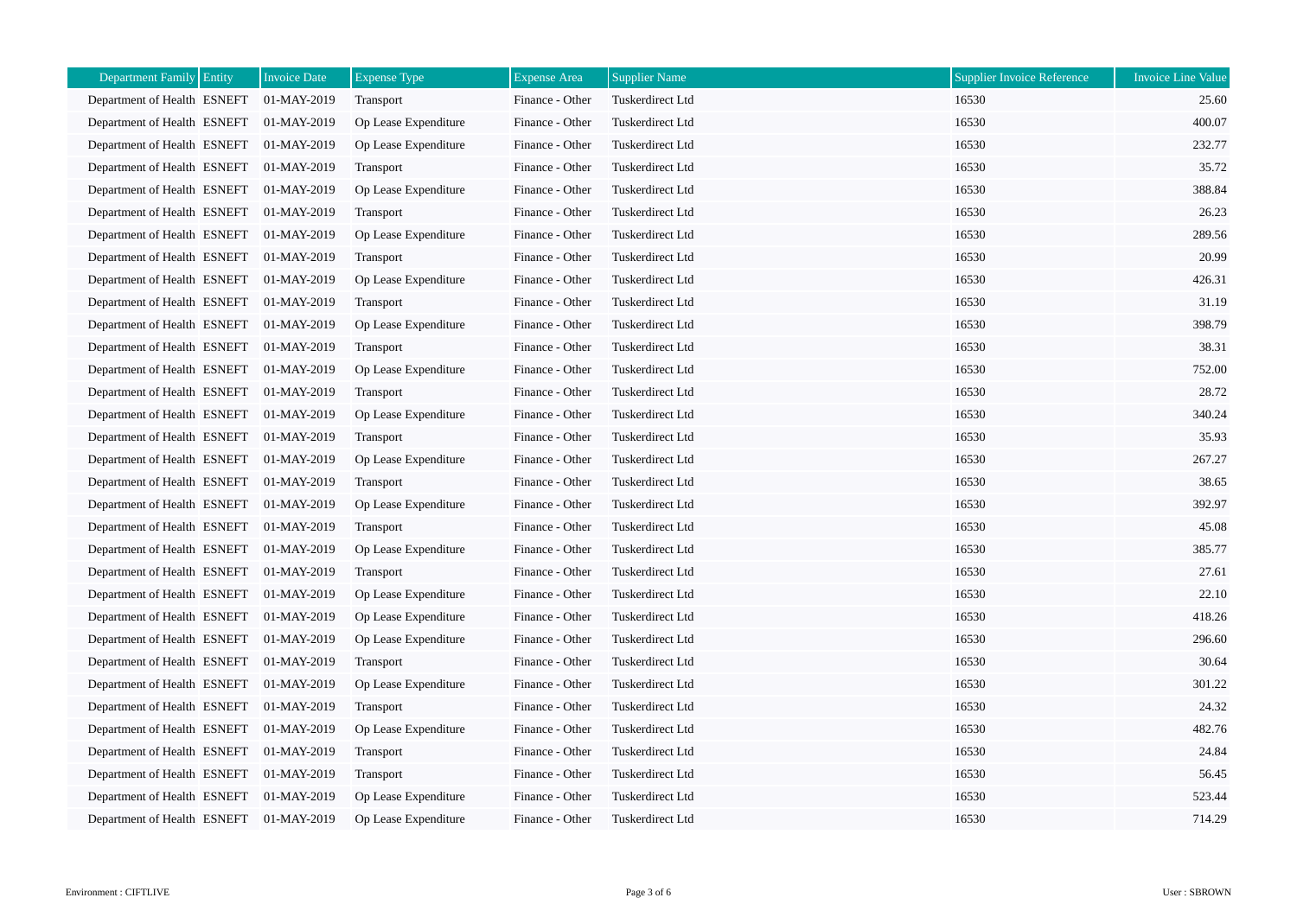| Department Family Entity    | Invoice Date | <b>Expense Type</b>  | <b>Expense Area</b> | <b>Supplier Name</b> | <b>Supplier Invoice Reference</b> | <b>Invoice Line Value</b> |
|-----------------------------|--------------|----------------------|---------------------|----------------------|-----------------------------------|---------------------------|
| Department of Health ESNEFT | 01-MAY-2019  | Transport            | Finance - Other     | Tuskerdirect Ltd     | 16530                             | 25.60                     |
| Department of Health ESNEFT | 01-MAY-2019  | Op Lease Expenditure | Finance - Other     | Tuskerdirect Ltd     | 16530                             | 400.07                    |
| Department of Health ESNEFT | 01-MAY-2019  | Op Lease Expenditure | Finance - Other     | Tuskerdirect Ltd     | 16530                             | 232.77                    |
| Department of Health ESNEFT | 01-MAY-2019  | Transport            | Finance - Other     | Tuskerdirect Ltd     | 16530                             | 35.72                     |
| Department of Health ESNEFT | 01-MAY-2019  | Op Lease Expenditure | Finance - Other     | Tuskerdirect Ltd     | 16530                             | 388.84                    |
| Department of Health ESNEFT | 01-MAY-2019  | Transport            | Finance - Other     | Tuskerdirect Ltd     | 16530                             | 26.23                     |
| Department of Health ESNEFT | 01-MAY-2019  | Op Lease Expenditure | Finance - Other     | Tuskerdirect Ltd     | 16530                             | 289.56                    |
| Department of Health ESNEFT | 01-MAY-2019  | <b>Transport</b>     | Finance - Other     | Tuskerdirect Ltd     | 16530                             | 20.99                     |
| Department of Health ESNEFT | 01-MAY-2019  | Op Lease Expenditure | Finance - Other     | Tuskerdirect Ltd     | 16530                             | 426.31                    |
| Department of Health ESNEFT | 01-MAY-2019  | Transport            | Finance - Other     | Tuskerdirect Ltd     | 16530                             | 31.19                     |
| Department of Health ESNEFT | 01-MAY-2019  | Op Lease Expenditure | Finance - Other     | Tuskerdirect Ltd     | 16530                             | 398.79                    |
| Department of Health ESNEFT | 01-MAY-2019  | <b>Transport</b>     | Finance - Other     | Tuskerdirect Ltd     | 16530                             | 38.31                     |
| Department of Health ESNEFT | 01-MAY-2019  | Op Lease Expenditure | Finance - Other     | Tuskerdirect Ltd     | 16530                             | 752.00                    |
| Department of Health ESNEFT | 01-MAY-2019  | Transport            | Finance - Other     | Tuskerdirect Ltd     | 16530                             | 28.72                     |
| Department of Health ESNEFT | 01-MAY-2019  | Op Lease Expenditure | Finance - Other     | Tuskerdirect Ltd     | 16530                             | 340.24                    |
| Department of Health ESNEFT | 01-MAY-2019  | Transport            | Finance - Other     | Tuskerdirect Ltd     | 16530                             | 35.93                     |
| Department of Health ESNEFT | 01-MAY-2019  | Op Lease Expenditure | Finance - Other     | Tuskerdirect Ltd     | 16530                             | 267.27                    |
| Department of Health ESNEFT | 01-MAY-2019  | <b>Transport</b>     | Finance - Other     | Tuskerdirect Ltd     | 16530                             | 38.65                     |
| Department of Health ESNEFT | 01-MAY-2019  | Op Lease Expenditure | Finance - Other     | Tuskerdirect Ltd     | 16530                             | 392.97                    |
| Department of Health ESNEFT | 01-MAY-2019  | Transport            | Finance - Other     | Tuskerdirect Ltd     | 16530                             | 45.08                     |
| Department of Health ESNEFT | 01-MAY-2019  | Op Lease Expenditure | Finance - Other     | Tuskerdirect Ltd     | 16530                             | 385.77                    |
| Department of Health ESNEFT | 01-MAY-2019  | Transport            | Finance - Other     | Tuskerdirect Ltd     | 16530                             | 27.61                     |
| Department of Health ESNEFT | 01-MAY-2019  | Op Lease Expenditure | Finance - Other     | Tuskerdirect Ltd     | 16530                             | 22.10                     |
| Department of Health ESNEFT | 01-MAY-2019  | Op Lease Expenditure | Finance - Other     | Tuskerdirect Ltd     | 16530                             | 418.26                    |
| Department of Health ESNEFT | 01-MAY-2019  | Op Lease Expenditure | Finance - Other     | Tuskerdirect Ltd     | 16530                             | 296.60                    |
| Department of Health ESNEFT | 01-MAY-2019  | Transport            | Finance - Other     | Tuskerdirect Ltd     | 16530                             | 30.64                     |
| Department of Health ESNEFT | 01-MAY-2019  | Op Lease Expenditure | Finance - Other     | Tuskerdirect Ltd     | 16530                             | 301.22                    |
| Department of Health ESNEFT | 01-MAY-2019  | Transport            | Finance - Other     | Tuskerdirect Ltd     | 16530                             | 24.32                     |
| Department of Health ESNEFT | 01-MAY-2019  | Op Lease Expenditure | Finance - Other     | Tuskerdirect Ltd     | 16530                             | 482.76                    |
| Department of Health ESNEFT | 01-MAY-2019  | <b>Transport</b>     | Finance - Other     | Tuskerdirect Ltd     | 16530                             | 24.84                     |
| Department of Health ESNEFT | 01-MAY-2019  | Transport            | Finance - Other     | Tuskerdirect Ltd     | 16530                             | 56.45                     |
| Department of Health ESNEFT | 01-MAY-2019  | Op Lease Expenditure | Finance - Other     | Tuskerdirect Ltd     | 16530                             | 523.44                    |
| Department of Health ESNEFT | 01-MAY-2019  | Op Lease Expenditure | Finance - Other     | Tuskerdirect Ltd     | 16530                             | 714.29                    |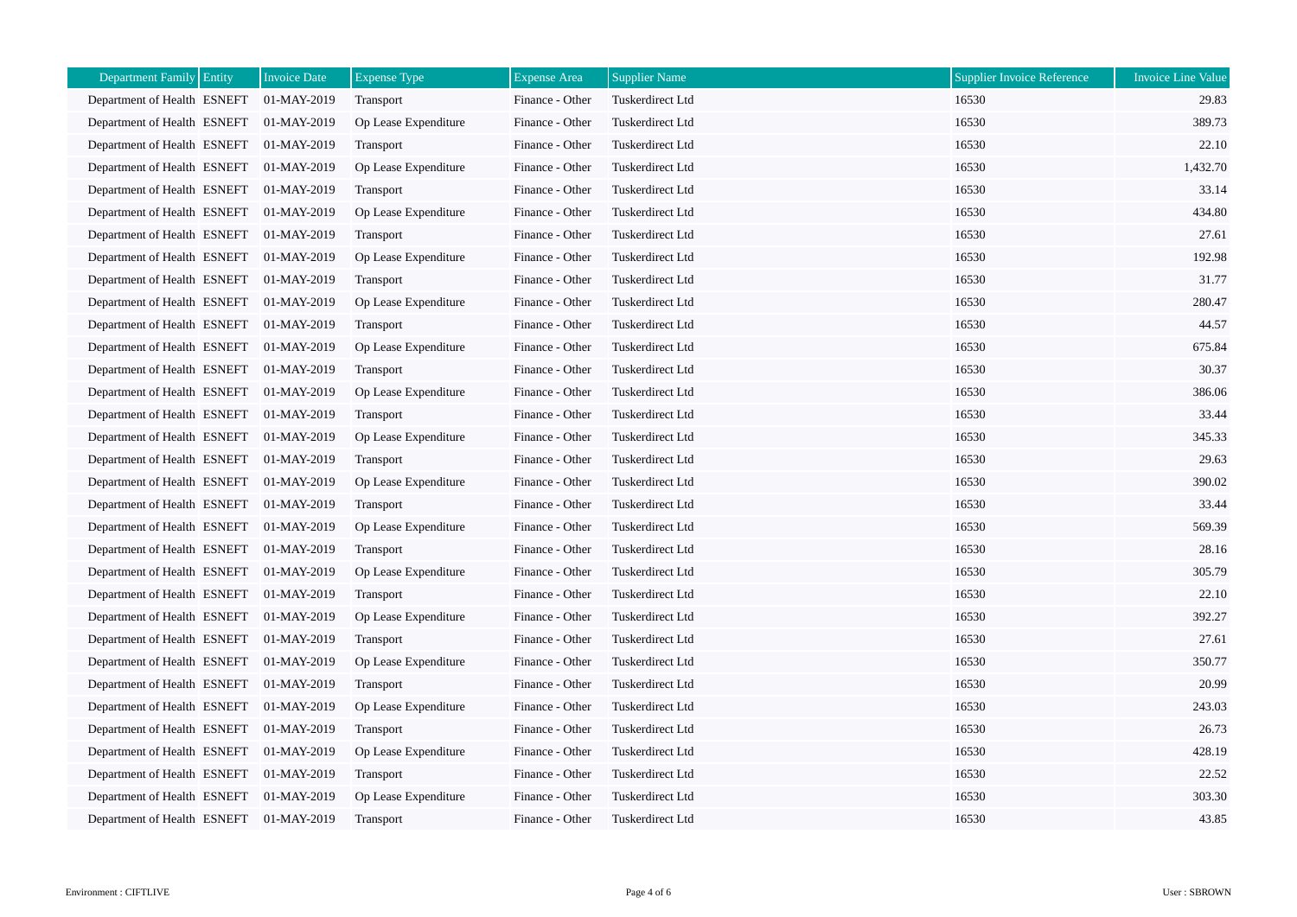| Department Family Entity    | Invoice Date | <b>Expense Type</b>  | <b>Expense Area</b> | <b>Supplier Name</b> | <b>Supplier Invoice Reference</b> | <b>Invoice Line Value</b> |
|-----------------------------|--------------|----------------------|---------------------|----------------------|-----------------------------------|---------------------------|
| Department of Health ESNEFT | 01-MAY-2019  | Transport            | Finance - Other     | Tuskerdirect Ltd     | 16530                             | 29.83                     |
| Department of Health ESNEFT | 01-MAY-2019  | Op Lease Expenditure | Finance - Other     | Tuskerdirect Ltd     | 16530                             | 389.73                    |
| Department of Health ESNEFT | 01-MAY-2019  | Transport            | Finance - Other     | Tuskerdirect Ltd     | 16530                             | 22.10                     |
| Department of Health ESNEFT | 01-MAY-2019  | Op Lease Expenditure | Finance - Other     | Tuskerdirect Ltd     | 16530                             | 1,432.70                  |
| Department of Health ESNEFT | 01-MAY-2019  | Transport            | Finance - Other     | Tuskerdirect Ltd     | 16530                             | 33.14                     |
| Department of Health ESNEFT | 01-MAY-2019  | Op Lease Expenditure | Finance - Other     | Tuskerdirect Ltd     | 16530                             | 434.80                    |
| Department of Health ESNEFT | 01-MAY-2019  | Transport            | Finance - Other     | Tuskerdirect Ltd     | 16530                             | 27.61                     |
| Department of Health ESNEFT | 01-MAY-2019  | Op Lease Expenditure | Finance - Other     | Tuskerdirect Ltd     | 16530                             | 192.98                    |
| Department of Health ESNEFT | 01-MAY-2019  | Transport            | Finance - Other     | Tuskerdirect Ltd     | 16530                             | 31.77                     |
| Department of Health ESNEFT | 01-MAY-2019  | Op Lease Expenditure | Finance - Other     | Tuskerdirect Ltd     | 16530                             | 280.47                    |
| Department of Health ESNEFT | 01-MAY-2019  | Transport            | Finance - Other     | Tuskerdirect Ltd     | 16530                             | 44.57                     |
| Department of Health ESNEFT | 01-MAY-2019  | Op Lease Expenditure | Finance - Other     | Tuskerdirect Ltd     | 16530                             | 675.84                    |
| Department of Health ESNEFT | 01-MAY-2019  | Transport            | Finance - Other     | Tuskerdirect Ltd     | 16530                             | 30.37                     |
| Department of Health ESNEFT | 01-MAY-2019  | Op Lease Expenditure | Finance - Other     | Tuskerdirect Ltd     | 16530                             | 386.06                    |
| Department of Health ESNEFT | 01-MAY-2019  | Transport            | Finance - Other     | Tuskerdirect Ltd     | 16530                             | 33.44                     |
| Department of Health ESNEFT | 01-MAY-2019  | Op Lease Expenditure | Finance - Other     | Tuskerdirect Ltd     | 16530                             | 345.33                    |
| Department of Health ESNEFT | 01-MAY-2019  | Transport            | Finance - Other     | Tuskerdirect Ltd     | 16530                             | 29.63                     |
| Department of Health ESNEFT | 01-MAY-2019  | Op Lease Expenditure | Finance - Other     | Tuskerdirect Ltd     | 16530                             | 390.02                    |
| Department of Health ESNEFT | 01-MAY-2019  | Transport            | Finance - Other     | Tuskerdirect Ltd     | 16530                             | 33.44                     |
| Department of Health ESNEFT | 01-MAY-2019  | Op Lease Expenditure | Finance - Other     | Tuskerdirect Ltd     | 16530                             | 569.39                    |
| Department of Health ESNEFT | 01-MAY-2019  | Transport            | Finance - Other     | Tuskerdirect Ltd     | 16530                             | 28.16                     |
| Department of Health ESNEFT | 01-MAY-2019  | Op Lease Expenditure | Finance - Other     | Tuskerdirect Ltd     | 16530                             | 305.79                    |
| Department of Health ESNEFT | 01-MAY-2019  | Transport            | Finance - Other     | Tuskerdirect Ltd     | 16530                             | 22.10                     |
| Department of Health ESNEFT | 01-MAY-2019  | Op Lease Expenditure | Finance - Other     | Tuskerdirect Ltd     | 16530                             | 392.27                    |
| Department of Health ESNEFT | 01-MAY-2019  | Transport            | Finance - Other     | Tuskerdirect Ltd     | 16530                             | 27.61                     |
| Department of Health ESNEFT | 01-MAY-2019  | Op Lease Expenditure | Finance - Other     | Tuskerdirect Ltd     | 16530                             | 350.77                    |
| Department of Health ESNEFT | 01-MAY-2019  | Transport            | Finance - Other     | Tuskerdirect Ltd     | 16530                             | 20.99                     |
| Department of Health ESNEFT | 01-MAY-2019  | Op Lease Expenditure | Finance - Other     | Tuskerdirect Ltd     | 16530                             | 243.03                    |
| Department of Health ESNEFT | 01-MAY-2019  | <b>Transport</b>     | Finance - Other     | Tuskerdirect Ltd     | 16530                             | 26.73                     |
| Department of Health ESNEFT | 01-MAY-2019  | Op Lease Expenditure | Finance - Other     | Tuskerdirect Ltd     | 16530                             | 428.19                    |
| Department of Health ESNEFT | 01-MAY-2019  | Transport            | Finance - Other     | Tuskerdirect Ltd     | 16530                             | 22.52                     |
| Department of Health ESNEFT | 01-MAY-2019  | Op Lease Expenditure | Finance - Other     | Tuskerdirect Ltd     | 16530                             | 303.30                    |
| Department of Health ESNEFT | 01-MAY-2019  | <b>Transport</b>     | Finance - Other     | Tuskerdirect Ltd     | 16530                             | 43.85                     |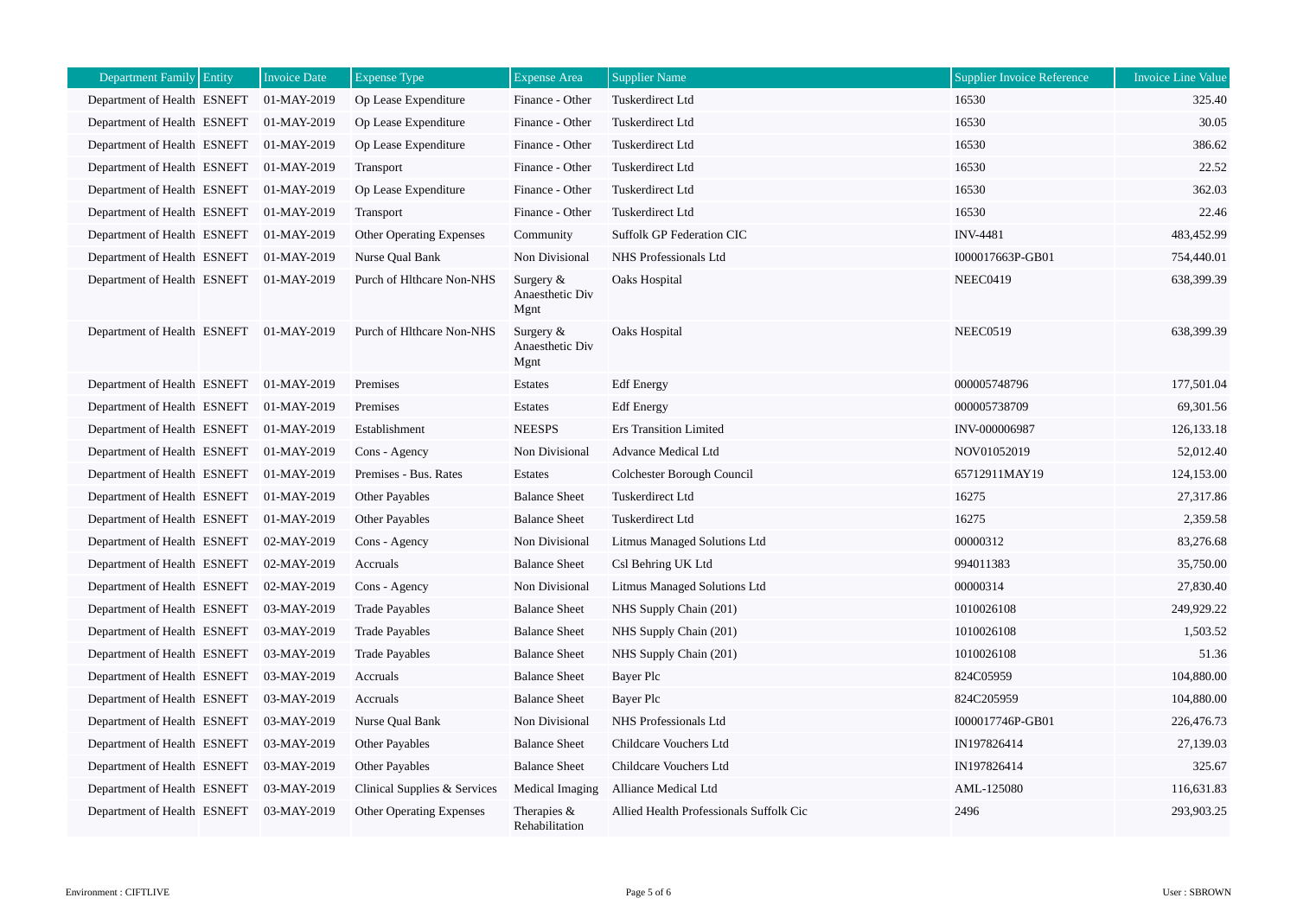| Department Family Entity    | <b>Invoice Date</b> | <b>Expense Type</b>             | <b>Expense Area</b>                     | <b>Supplier Name</b>                    | <b>Supplier Invoice Reference</b> | <b>Invoice Line Value</b> |
|-----------------------------|---------------------|---------------------------------|-----------------------------------------|-----------------------------------------|-----------------------------------|---------------------------|
| Department of Health ESNEFT | 01-MAY-2019         | Op Lease Expenditure            | Finance - Other                         | Tuskerdirect Ltd                        | 16530                             | 325.40                    |
| Department of Health ESNEFT | 01-MAY-2019         | Op Lease Expenditure            | Finance - Other                         | <b>Tuskerdirect Ltd</b>                 | 16530                             | 30.05                     |
| Department of Health ESNEFT | 01-MAY-2019         | Op Lease Expenditure            | Finance - Other                         | Tuskerdirect Ltd                        | 16530                             | 386.62                    |
| Department of Health ESNEFT | 01-MAY-2019         | Transport                       | Finance - Other                         | Tuskerdirect Ltd                        | 16530                             | 22.52                     |
| Department of Health ESNEFT | 01-MAY-2019         | Op Lease Expenditure            | Finance - Other                         | Tuskerdirect Ltd                        | 16530                             | 362.03                    |
| Department of Health ESNEFT | 01-MAY-2019         | Transport                       | Finance - Other                         | Tuskerdirect Ltd                        | 16530                             | 22.46                     |
| Department of Health ESNEFT | 01-MAY-2019         | <b>Other Operating Expenses</b> | Community                               | Suffolk GP Federation CIC               | <b>INV-4481</b>                   | 483,452.99                |
| Department of Health ESNEFT | 01-MAY-2019         | Nurse Qual Bank                 | Non Divisional                          | NHS Professionals Ltd                   | I000017663P-GB01                  | 754,440.01                |
| Department of Health ESNEFT | 01-MAY-2019         | Purch of Hlthcare Non-NHS       | Surgery $&$<br>Anaesthetic Div<br>Mgnt  | Oaks Hospital                           | <b>NEEC0419</b>                   | 638,399.39                |
| Department of Health ESNEFT | 01-MAY-2019         | Purch of Hlthcare Non-NHS       | Surgery $\&$<br>Anaesthetic Div<br>Mgnt | Oaks Hospital                           | <b>NEEC0519</b>                   | 638,399.39                |
| Department of Health ESNEFT | 01-MAY-2019         | Premises                        | Estates                                 | <b>Edf</b> Energy                       | 000005748796                      | 177,501.04                |
| Department of Health ESNEFT | 01-MAY-2019         | Premises                        | Estates                                 | <b>Edf</b> Energy                       | 000005738709                      | 69,301.56                 |
| Department of Health ESNEFT | 01-MAY-2019         | Establishment                   | <b>NEESPS</b>                           | <b>Ers Transition Limited</b>           | INV-000006987                     | 126, 133. 18              |
| Department of Health ESNEFT | 01-MAY-2019         | Cons - Agency                   | Non Divisional                          | Advance Medical Ltd                     | NOV01052019                       | 52,012.40                 |
| Department of Health ESNEFT | 01-MAY-2019         | Premises - Bus. Rates           | Estates                                 | Colchester Borough Council              | 65712911MAY19                     | 124,153.00                |
| Department of Health ESNEFT | 01-MAY-2019         | Other Payables                  | <b>Balance Sheet</b>                    | Tuskerdirect Ltd                        | 16275                             | 27,317.86                 |
| Department of Health ESNEFT | 01-MAY-2019         | Other Payables                  | <b>Balance Sheet</b>                    | Tuskerdirect Ltd                        | 16275                             | 2,359.58                  |
| Department of Health ESNEFT | 02-MAY-2019         | Cons - Agency                   | Non Divisional                          | Litmus Managed Solutions Ltd            | 00000312                          | 83,276.68                 |
| Department of Health ESNEFT | 02-MAY-2019         | Accruals                        | <b>Balance Sheet</b>                    | Csl Behring UK Ltd                      | 994011383                         | 35,750.00                 |
| Department of Health ESNEFT | 02-MAY-2019         | Cons - Agency                   | Non Divisional                          | Litmus Managed Solutions Ltd            | 00000314                          | 27,830.40                 |
| Department of Health ESNEFT | 03-MAY-2019         | <b>Trade Payables</b>           | <b>Balance Sheet</b>                    | NHS Supply Chain (201)                  | 1010026108                        | 249,929.22                |
| Department of Health ESNEFT | 03-MAY-2019         | <b>Trade Payables</b>           | <b>Balance Sheet</b>                    | NHS Supply Chain (201)                  | 1010026108                        | 1,503.52                  |
| Department of Health ESNEFT | 03-MAY-2019         | <b>Trade Payables</b>           | <b>Balance Sheet</b>                    | NHS Supply Chain (201)                  | 1010026108                        | 51.36                     |
| Department of Health ESNEFT | 03-MAY-2019         | Accruals                        | <b>Balance Sheet</b>                    | Bayer Plc                               | 824C05959                         | 104,880.00                |
| Department of Health ESNEFT | 03-MAY-2019         | Accruals                        | <b>Balance Sheet</b>                    | Bayer Plc                               | 824C205959                        | 104,880.00                |
| Department of Health ESNEFT | 03-MAY-2019         | Nurse Qual Bank                 | Non Divisional                          | NHS Professionals Ltd                   | I000017746P-GB01                  | 226,476.73                |
| Department of Health ESNEFT | 03-MAY-2019         | <b>Other Payables</b>           | <b>Balance Sheet</b>                    | Childcare Vouchers Ltd                  | IN197826414                       | 27,139.03                 |
| Department of Health ESNEFT | 03-MAY-2019         | Other Payables                  | <b>Balance Sheet</b>                    | Childcare Vouchers Ltd                  | IN197826414                       | 325.67                    |
| Department of Health ESNEFT | 03-MAY-2019         | Clinical Supplies & Services    | Medical Imaging                         | Alliance Medical Ltd                    | AML-125080                        | 116,631.83                |
| Department of Health ESNEFT | 03-MAY-2019         | <b>Other Operating Expenses</b> | Therapies &<br>Rehabilitation           | Allied Health Professionals Suffolk Cic | 2496                              | 293,903.25                |